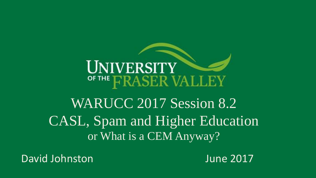

#### WARUCC 2017 Session 8.2 CASL, Spam and Higher Education or What is a CEM Anyway?

David Johnston June 2017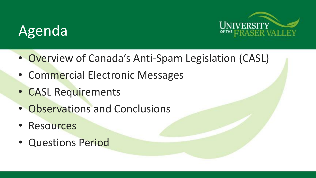## Agenda



- Overview of Canada's Anti-Spam Legislation (CASL)
- Commercial Electronic Messages
- CASL Requirements
- Observations and Conclusions
- Resources
- Questions Period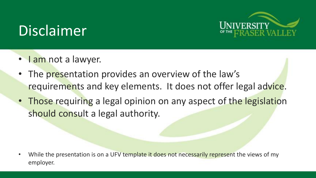## **Disclaimer**



- I am not a lawyer.
- The presentation provides an overview of the law's requirements and key elements. It does not offer legal advice.
- Those requiring a legal opinion on any aspect of the legislation should consult a legal authority.

• While the presentation is on a UFV template it does not necessarily represent the views of my employer.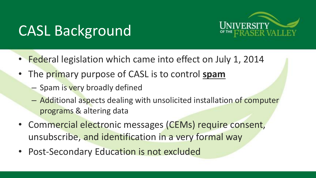## CASL Background



- Federal legislation which came into effect on July 1, 2014
- The primary purpose of CASL is to control **spam**
	- Spam is very broadly defined
	- Additional aspects dealing with unsolicited installation of computer programs & altering data
- Commercial electronic messages (CEMs) require consent, unsubscribe, and identification in a very formal way
- Post-Secondary Education is not excluded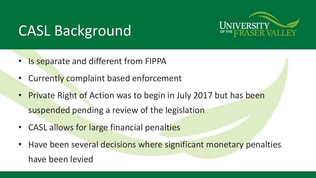

## CASL Background

- Is separate and different from FIPPA
- Currently complaint based enforcement
- Private Right of Action was to begin in July 2017 but has been suspended pending a review of the legislation
- CASL allows for large financial penalties
- Have been several decisions where significant monetary penalties have been levied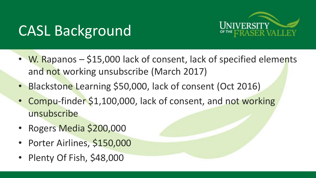## CASL Background



- W. Rapanos \$15,000 lack of consent, lack of specified elements and not working unsubscribe (March 2017)
- Blackstone Learning \$50,000, lack of consent (Oct 2016)
- Compu-finder \$1,100,000, lack of consent, and not working unsubscribe
- Rogers Media \$200,000
- Porter Airlines, \$150,000
- Plenty Of Fish, \$48,000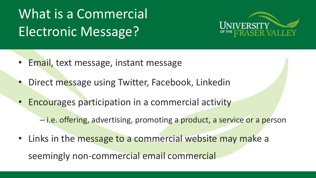## What is a Commercial Electronic Message?



- Email, text message, instant message
- Direct message using Twitter, Facebook, Linkedin
- Encourages participation in a commercial activity

– i.e. offering, advertising, promoting a product, a service or a person

• Links in the message to a commercial website may make a seemingly non-commercial email commercial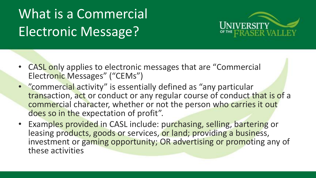# What is a Commercial Electronic Message?



- CASL only applies to electronic messages that are "Commercial Electronic Messages" ("CEMs")
- "commercial activity" is essentially defined as "any particular transaction, act or conduct or any regular course of conduct that is of a commercial character, whether or not the person who carries it out does so in the expectation of profit".
- Examples provided in CASL include: purchasing, selling, bartering or leasing products, goods or services, or land; providing a business, investment or gaming opportunity; OR advertising or promoting any of these activities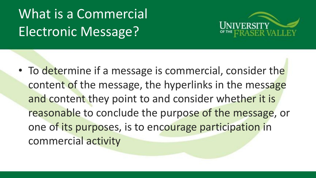What is a Commercial Electronic Message?



• To determine if a message is commercial, consider the content of the message, the hyperlinks in the message and content they point to and consider whether it is reasonable to conclude the purpose of the message, or one of its purposes, is to encourage participation in commercial activity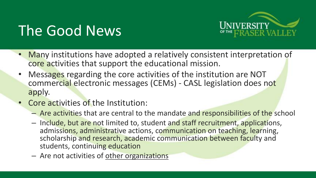## The Good News

- Many institutions have adopted a relatively consistent interpretation of core activities that support the educational mission.
- Messages regarding the core activities of the institution are NOT commercial electronic messages (CEMs) - CASL legislation does not apply.
- Core activities of the Institution:
	- Are activities that are central to the mandate and responsibilities of the school
	- Include, but are not limited to, student and staff recruitment, applications, admissions, administrative actions, communication on teaching, learning, scholarship and research, academic communication between faculty and students, continuing education
	- Are not activities of other organizations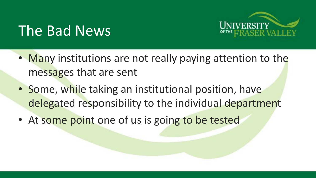## The Bad News



- Many institutions are not really paying attention to the messages that are sent
- Some, while taking an institutional position, have delegated responsibility to the individual department
- At some point one of us is going to be tested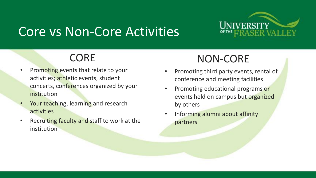

#### Core vs Non-Core Activities

#### **CORE**

- Promoting events that relate to your activities; athletic events, student concerts, conferences organized by your institution
- Your teaching, learning and research activities
- Recruiting faculty and staff to work at the institution

#### NON-CORE

- Promoting third party events, rental of conference and meeting facilities
- Promoting educational programs or events held on campus but organized by others
- Informing alumni about affinity partners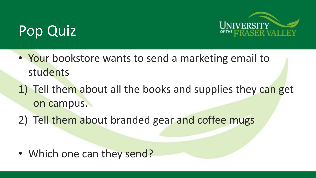## Pop Quiz



- Your bookstore wants to send a marketing email to students
- 1) Tell them about all the books and supplies they can get on campus.
- 2) Tell them about branded gear and coffee mugs

• Which one can they send?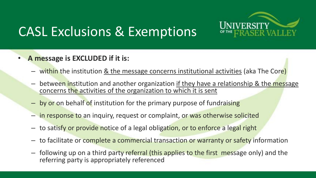

#### CASL Exclusions & Exemptions

- **A message is EXCLUDED if it is:**
	- within the institution & the message concerns institutional activities (aka The Core)
	- $-$  between institution and another organization if they have a relationship & the message concerns the activities of the organization to which it is sent
	- by or on behalf of institution for the primary purpose of fundraising
	- in response to an inquiry, request or complaint, or was otherwise solicited
	- to satisfy or provide notice of a legal obligation, or to enforce a legal right
	- to facilitate or complete a commercial transaction or warranty or safety information
	- following up on a third party referral (this applies to the first message only) and the referring party is appropriately referenced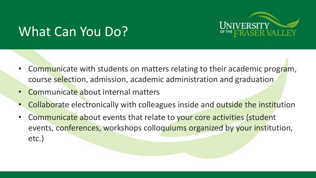

#### What Can You Do?

- Communicate with students on matters relating to their academic program, course selection, admission, academic administration and graduation
- Communicate about internal matters
- Collaborate electronically with colleagues inside and outside the institution
- Communicate about events that relate to your core activities (student events, conferences, workshops colloquiums organized by your institution, etc.)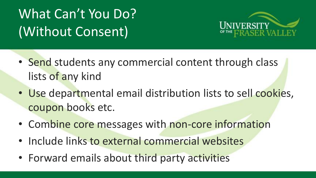# What Can't You Do? (Without Consent)



- Send students any commercial content through class lists of any kind
- Use departmental email distribution lists to sell cookies, coupon books etc.
- Combine core messages with non-core information
- Include links to external commercial websites
- Forward emails about third party activities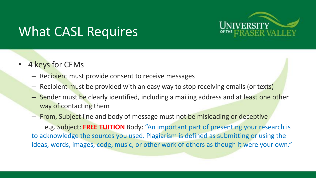

#### What CASL Requires

- 4 keys for CEMs
	- Recipient must provide consent to receive messages
	- Recipient must be provided with an easy way to stop receiving emails (or texts)
	- Sender must be clearly identified, including a mailing address and at least one other way of contacting them

– From, Subject line and body of message must not be misleading or deceptive e.g. Subject: **FREE TUITION** Body: "An important part of presenting your research is to acknowledge the sources you used. Plagiarism is defined as submitting or using the ideas, words, images, code, music, or other work of others as though it were your own."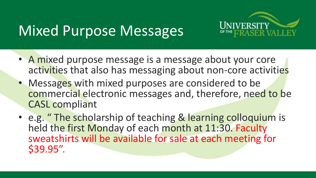

## Mixed Purpose Messages

- A mixed purpose message is a message about your core activities that also has messaging about non-core activities
- Messages with mixed purposes are considered to be commercial electronic messages and, therefore, need to be CASL compliant
- e.g. "The scholarship of teaching & learning colloquium is held the first Monday of each month at 11:30. Faculty sweatshirts will be available for sale at each meeting for \$39.95".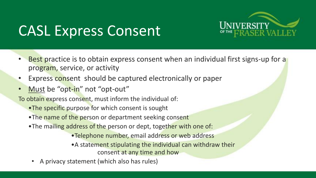

## CASL Express Consent

- **Best practice is to obtain express consent when an individual first signs-up for a** program, service, or activity
- Express consent should be captured electronically or paper
- Must be "opt-in" not "opt-out"

To obtain express consent, must inform the individual of:

- •The specific purpose for which consent is sought
- •The name of the person or department seeking consent
- •The mailing address of the person or dept, together with one of:
	- •Telephone number, email address or web address
	- •A statement stipulating the individual can withdraw their consent at any time and how
	- A privacy statement (which also has rules)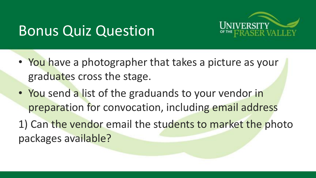

#### Bonus Quiz Question

- You have a photographer that takes a picture as your graduates cross the stage.
- You send a list of the graduands to your vendor in preparation for convocation, including email address 1) Can the vendor email the students to market the photo
- packages available?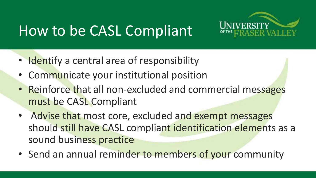# How to be CASL Compliant



- Identify a central area of responsibility
- Communicate your institutional position
- Reinforce that all non-excluded and commercial messages must be CASL Compliant
- Advise that most core, excluded and exempt messages should still have CASL compliant identification elements as a sound business practice
- Send an annual reminder to members of your community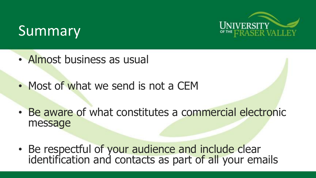#### **Summary**



- Almost business as usual
- Most of what we send is not a CEM
- Be aware of what constitutes a commercial electronic message
- Be respectful of your audience and include clear identification and contacts as part of all your emails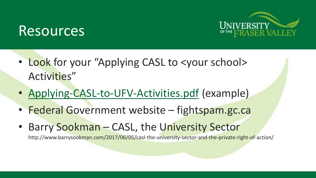#### **Resources**



- Look for your "Applying CASL to <your school> Activities"
- [Applying-CASL-to-UFV-Activities.pdf](http://www.ufv.ca/media/assets/canadian-anti-spam-legislation/Applying-CASL-to-UFV-Activities.pdf) (example)
- Federal Government website fightspam.gc.ca
- Barry Sookman CASL, the University Sector

http://www.barrysookman.com/2017/06/05/casl-the-university-sector-and-the-private-right-of-action/